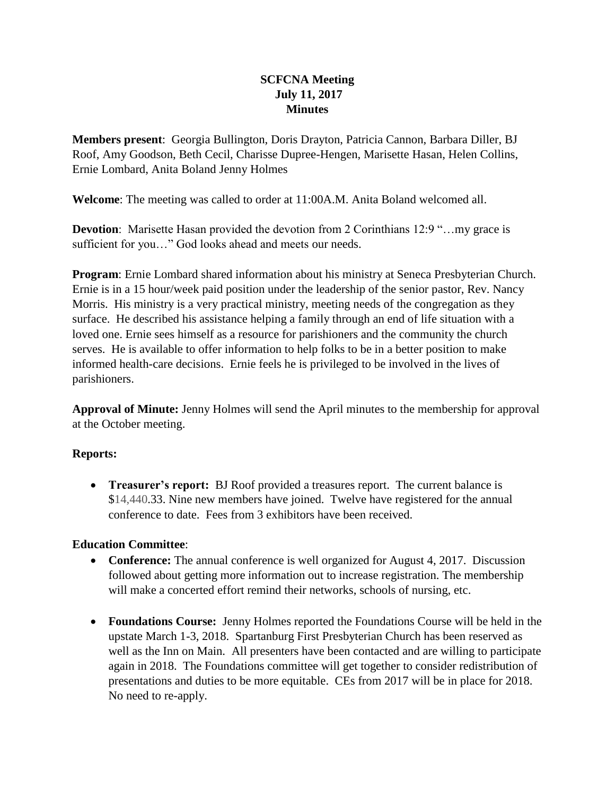## **SCFCNA Meeting July 11, 2017 Minutes**

**Members present**: Georgia Bullington, Doris Drayton, Patricia Cannon, Barbara Diller, BJ Roof, Amy Goodson, Beth Cecil, Charisse Dupree-Hengen, Marisette Hasan, Helen Collins, Ernie Lombard, Anita Boland Jenny Holmes

**Welcome**: The meeting was called to order at 11:00A.M. Anita Boland welcomed all.

**Devotion:** Marisette Hasan provided the devotion from 2 Corinthians 12:9 "...my grace is sufficient for you…" God looks ahead and meets our needs.

**Program**: Ernie Lombard shared information about his ministry at Seneca Presbyterian Church. Ernie is in a 15 hour/week paid position under the leadership of the senior pastor, Rev. Nancy Morris. His ministry is a very practical ministry, meeting needs of the congregation as they surface. He described his assistance helping a family through an end of life situation with a loved one. Ernie sees himself as a resource for parishioners and the community the church serves. He is available to offer information to help folks to be in a better position to make informed health-care decisions. Ernie feels he is privileged to be involved in the lives of parishioners.

**Approval of Minute:** Jenny Holmes will send the April minutes to the membership for approval at the October meeting.

## **Reports:**

• **Treasurer's report:** BJ Roof provided a treasures report. The current balance is \$14,440.33. Nine new members have joined. Twelve have registered for the annual conference to date. Fees from 3 exhibitors have been received.

## **Education Committee**:

- **Conference:** The annual conference is well organized for August 4, 2017. Discussion followed about getting more information out to increase registration. The membership will make a concerted effort remind their networks, schools of nursing, etc.
- **Foundations Course:** Jenny Holmes reported the Foundations Course will be held in the upstate March 1-3, 2018. Spartanburg First Presbyterian Church has been reserved as well as the Inn on Main. All presenters have been contacted and are willing to participate again in 2018. The Foundations committee will get together to consider redistribution of presentations and duties to be more equitable. CEs from 2017 will be in place for 2018. No need to re-apply.